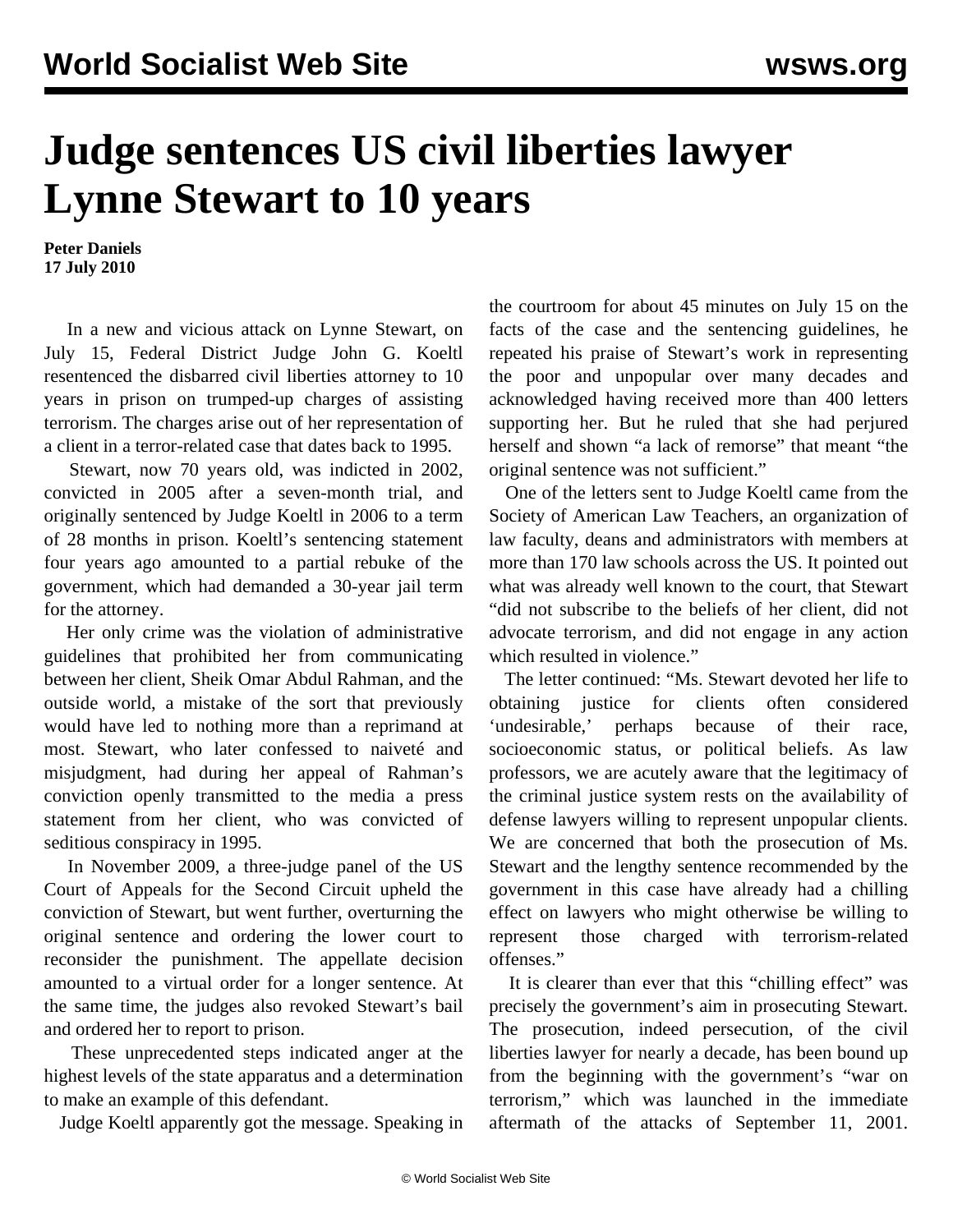## **Judge sentences US civil liberties lawyer Lynne Stewart to 10 years**

**Peter Daniels 17 July 2010**

 In a new and vicious attack on Lynne Stewart, on July 15, Federal District Judge John G. Koeltl resentenced the disbarred civil liberties attorney to 10 years in prison on trumped-up charges of assisting terrorism. The charges arise out of her representation of a client in a terror-related case that dates back to 1995.

 Stewart, now 70 years old, was indicted in 2002, convicted in 2005 after a seven-month trial, and originally sentenced by Judge Koeltl in 2006 to a term of 28 months in prison. Koeltl's sentencing statement four years ago amounted to a partial rebuke of the government, which had demanded a 30-year jail term for the attorney.

 Her only crime was the violation of administrative guidelines that prohibited her from communicating between her client, Sheik Omar Abdul Rahman, and the outside world, a mistake of the sort that previously would have led to nothing more than a reprimand at most. Stewart, who later confessed to naiveté and misjudgment, had during her appeal of Rahman's conviction openly transmitted to the media a press statement from her client, who was convicted of seditious conspiracy in 1995.

 In November 2009, a three-judge panel of the US Court of Appeals for the Second Circuit upheld the conviction of Stewart, but went further, overturning the original sentence and ordering the lower court to reconsider the punishment. The appellate decision amounted to a virtual order for a longer sentence. At the same time, the judges also revoked Stewart's bail and ordered her to report to prison.

 These unprecedented steps indicated anger at the highest levels of the state apparatus and a determination to make an example of this defendant.

Judge Koeltl apparently got the message. Speaking in

the courtroom for about 45 minutes on July 15 on the facts of the case and the sentencing guidelines, he repeated his praise of Stewart's work in representing the poor and unpopular over many decades and acknowledged having received more than 400 letters supporting her. But he ruled that she had perjured herself and shown "a lack of remorse" that meant "the original sentence was not sufficient."

 One of the letters sent to Judge Koeltl came from the Society of American Law Teachers, an organization of law faculty, deans and administrators with members at more than 170 law schools across the US. It pointed out what was already well known to the court, that Stewart "did not subscribe to the beliefs of her client, did not advocate terrorism, and did not engage in any action which resulted in violence."

 The letter continued: "Ms. Stewart devoted her life to obtaining justice for clients often considered 'undesirable,' perhaps because of their race, socioeconomic status, or political beliefs. As law professors, we are acutely aware that the legitimacy of the criminal justice system rests on the availability of defense lawyers willing to represent unpopular clients. We are concerned that both the prosecution of Ms. Stewart and the lengthy sentence recommended by the government in this case have already had a chilling effect on lawyers who might otherwise be willing to represent those charged with terrorism-related offenses."

 It is clearer than ever that this "chilling effect" was precisely the government's aim in prosecuting Stewart. The prosecution, indeed persecution, of the civil liberties lawyer for nearly a decade, has been bound up from the beginning with the government's "war on terrorism," which was launched in the immediate aftermath of the attacks of September 11, 2001.